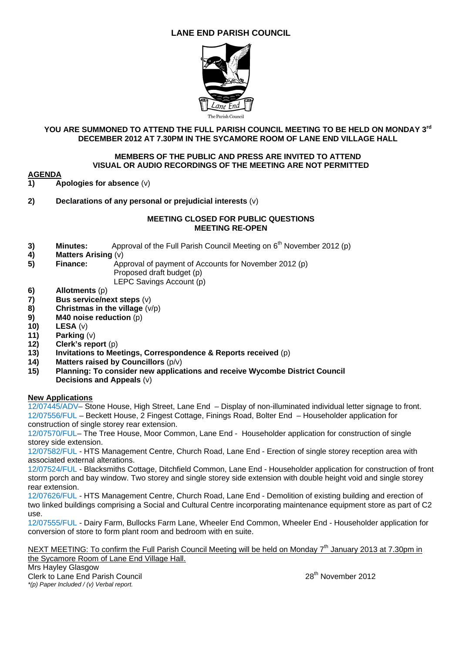# **LANE END PARISH COUNCIL**



### **YOU ARE SUMMONED TO ATTEND THE FULL PARISH COUNCIL MEETING TO BE HELD ON MONDAY 3rd DECEMBER 2012 AT 7.30PM IN THE SYCAMORE ROOM OF LANE END VILLAGE HALL**

#### **MEMBERS OF THE PUBLIC AND PRESS ARE INVITED TO ATTEND VISUAL OR AUDIO RECORDINGS OF THE MEETING ARE NOT PERMITTED**

# **AGENDA**

**1) Apologies for absence** (v)

**2) Declarations of any personal or prejudicial interests** (v)

#### **MEETING CLOSED FOR PUBLIC QUESTIONS MEETING RE-OPEN**

- **3) Minutes:** Approval of the Full Parish Council Meeting on 6<sup>th</sup> November 2012 (p)
- **4) Matters Arising** (v)
- **5) Finance:** Approval of payment of Accounts for November 2012 (p) Proposed draft budget (p)
	- LEPC Savings Account (p)
- **6) Allotments** (p)
- **7) Bus service/next steps** (v)
- **8) Christmas in the village** (v/p)
- **9) M40 noise reduction** (p)
- **10) LESA** (v)
- **11) Parking** (v)
- **12) Clerk's report** (p)
- **13) Invitations to Meetings, Correspondence & Reports received** (p)
- **14) Matters raised by Councillors** (p/v)
- **15) Planning: To consider new applications and receive Wycombe District Council Decisions and Appeals** (v)

### **New Applications**

12/07445/ADV– Stone House, High Street, Lane End – Display of non-illuminated individual letter signage to front. 12/07556/FUL – Beckett House, 2 Fingest Cottage, Finings Road, Bolter End – Householder application for construction of single storey rear extension.

12/07570/FUL– The Tree House, Moor Common, Lane End - Householder application for construction of single storey side extension.

12/07582/FUL - HTS Management Centre, Church Road, Lane End - Erection of single storey reception area with associated external alterations.

12/07524/FUL - Blacksmiths Cottage, Ditchfield Common, Lane End - Householder application for construction of front storm porch and bay window. Two storey and single storey side extension with double height void and single storey rear extension.

12/07626/FUL - HTS Management Centre, Church Road, Lane End - Demolition of existing building and erection of two linked buildings comprising a Social and Cultural Centre incorporating maintenance equipment store as part of C2 use.

12/07555/FUL - Dairy Farm, Bullocks Farm Lane, Wheeler End Common, Wheeler End - Householder application for conversion of store to form plant room and bedroom with en suite.

NEXT MEETING: To confirm the Full Parish Council Meeting will be held on Mondav 7<sup>th</sup> Januarv 2013 at 7.30pm in the Sycamore Room of Lane End Village Hall.